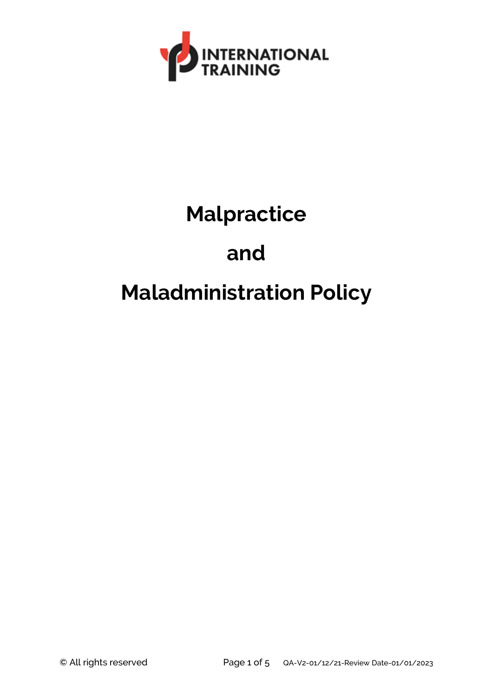

# **Malpractice and Maladministration Policy**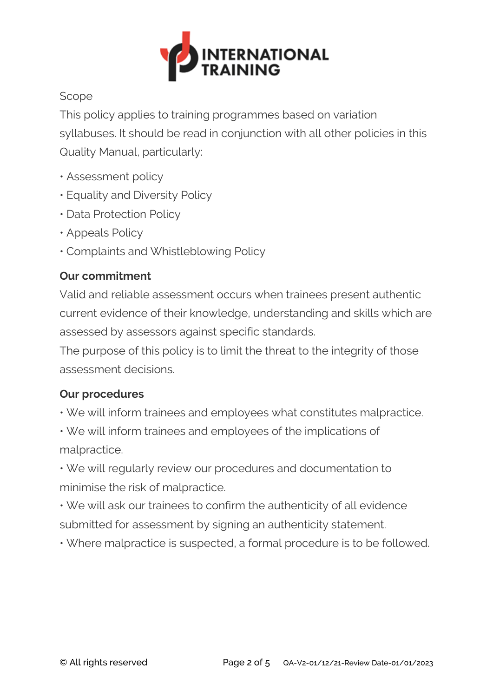

#### Scope

This policy applies to training programmes based on variation syllabuses. It should be read in conjunction with all other policies in this Quality Manual, particularly:

- Assessment policy
- Equality and Diversity Policy
- Data Protection Policy
- Appeals Policy
- Complaints and Whistleblowing Policy

# **Our commitment**

Valid and reliable assessment occurs when trainees present authentic current evidence of their knowledge, understanding and skills which are assessed by assessors against specific standards.

The purpose of this policy is to limit the threat to the integrity of those assessment decisions.

### **Our procedures**

• We will inform trainees and employees what constitutes malpractice.

• We will inform trainees and employees of the implications of malpractice.

• We will regularly review our procedures and documentation to minimise the risk of malpractice.

• We will ask our trainees to confirm the authenticity of all evidence submitted for assessment by signing an authenticity statement.

• Where malpractice is suspected, a formal procedure is to be followed.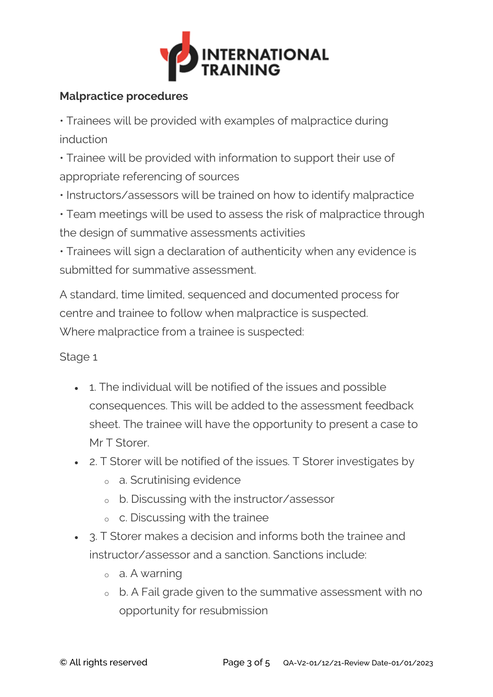

## **Malpractice procedures**

• Trainees will be provided with examples of malpractice during induction

• Trainee will be provided with information to support their use of appropriate referencing of sources

• Instructors/assessors will be trained on how to identify malpractice

• Team meetings will be used to assess the risk of malpractice through the design of summative assessments activities

• Trainees will sign a declaration of authenticity when any evidence is submitted for summative assessment.

A standard, time limited, sequenced and documented process for centre and trainee to follow when malpractice is suspected. Where malpractice from a trainee is suspected:

### Stage 1

- 1. The individual will be notified of the issues and possible consequences. This will be added to the assessment feedback sheet. The trainee will have the opportunity to present a case to Mr T Storer.
- 2. T Storer will be notified of the issues. T Storer investigates by
	- <sup>o</sup> a. Scrutinising evidence
	- <sup>o</sup> b. Discussing with the instructor/assessor
	- <sup>o</sup> c. Discussing with the trainee
- 3. T Storer makes a decision and informs both the trainee and instructor/assessor and a sanction. Sanctions include:
	- <sup>o</sup> a. A warning
	- <sup>o</sup> b. A Fail grade given to the summative assessment with no opportunity for resubmission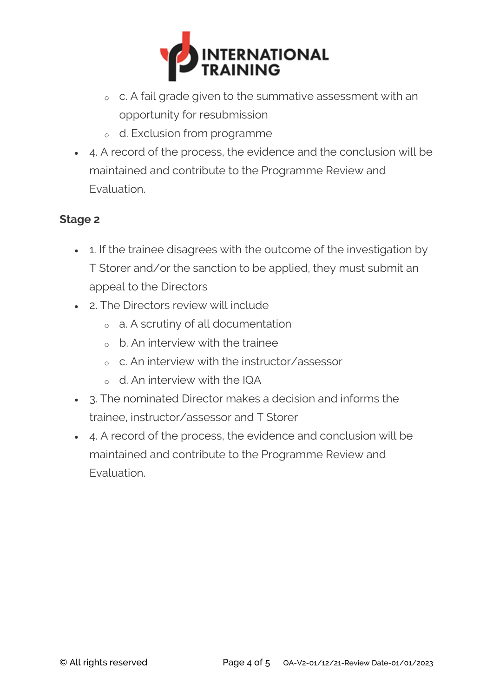

- <sup>o</sup> c. A fail grade given to the summative assessment with an opportunity for resubmission
- <sup>o</sup> d. Exclusion from programme
- 4. A record of the process, the evidence and the conclusion will be maintained and contribute to the Programme Review and Evaluation.

#### **Stage 2**

- 1. If the trainee disagrees with the outcome of the investigation by T Storer and/or the sanction to be applied, they must submit an appeal to the Directors
- 2. The Directors review will include
	- <sup>o</sup> a. A scrutiny of all documentation
	- $\circ$  b. An interview with the trainee
	- <sup>o</sup> c. An interview with the instructor/assessor
	- <sup>o</sup> d. An interview with the IQA
- 3. The nominated Director makes a decision and informs the trainee, instructor/assessor and T Storer
- 4. A record of the process, the evidence and conclusion will be maintained and contribute to the Programme Review and Evaluation.